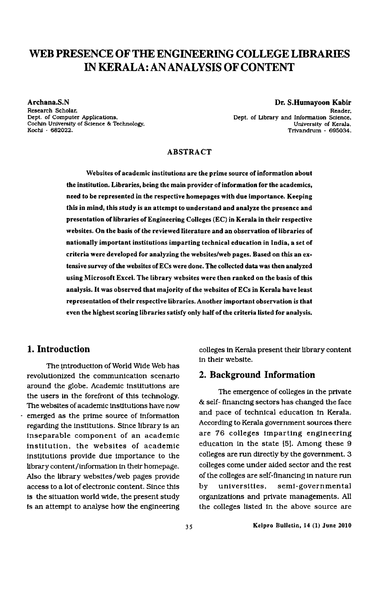# WEB PRESENCE OF THE ENGINEERING COLLEGE LIBRARIES IN KERALA: AN ANALYSIS OF CONTENT

Archana.S.N

Research Scholar. Dept. of Computer Applications. Cochin University of Science & Technologr, Kochi — 682022.

Dr. S.Humayoon Kabir Reader. Dept. of Library and information Science. University of Kerala. Trivandrum - 695034.

#### ABSTRACT

Websites of academic institutions are the prime source of information about the institution. Libraries, being the main provider of information for the academics, need to be represented in the respective homepages with due importance. Keeping this in mind, this study is an attempt to understand and analyze the presence and presentation of libraries of Engineering Colleges (EC) in Kerala in their respective websites. On the basis of the reviewed literature and an observation of libraries of nationally important institutions imparting technical education in India, a set of criteria were developed for analyzing the websites/web pages. Based on this an extensive survcy of the websites of ECs were done. The collected data was then analyzed using Microsoft Excel. The library websites were then ranked on the basis of this analysis. It was observed that majority of the websites of ECs in Kerala have least representation of their respective libraries. Another important observation is that even the highest scoring libraries satisfy only half of the criteria listed for analysis.

# 1. Introduction

The introduction of World Wide Web has revolutionized the communication scenario around the globe. Academic institutions are the users in the forefront of this technology. The websites of academic institutions have now - emerged as the prime source of information regarding the institutions. Since library is an inseparable component of an academic institution. the websites of academic institutions provide due importance to the library content / information in their homepage. Also the library websites/web pages provide access to a lot of electronic content. Since this is the situation world wide. the present study is an attempt to analyse how the engineering

colleges in Kerala present their library content in their website.

#### 2. Background Information

The emergence of colleges in the private & se1f— financing sectors has changed the face and pace of technical education in Kerala. According to Kerala government sources there are 76 colleges imparting engineering education in the state [5]. Among these 9 colleges are run directly by the government. 3 colleges come under aided sector and the rest of the colleges are self -financing in nature run by universities, semi-governmental organizations and private managements. All the colleges listed in the above source are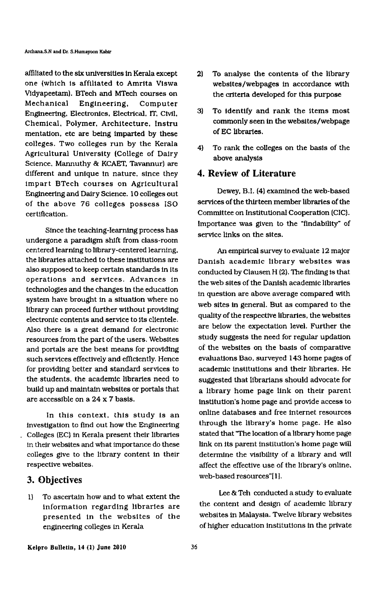affiliated to the six universities in Kerala except one (which is affiliated to Amrita Viswa Vidyapeetam). BTech and MTech courses on Mechanical Engineering. Computer Engineering. Electronics. Electrical. IT. Civil. Chemical. Polymer. Architecture. lnstru mentation, etc are being imparted by these colleges. Two colleges run by the Kerala Agricultural University (College of Dairy Science. Mannuthy & KCAET. Tavannur) are different and unique in nature. since they impart BTech courses on Agricultural Engineering and Dairy Science. 10 colleges out of the above 76 colleges possess ISO certification.

Since the teaching-learning process has undergone a paradigm shift from class-room centered learning to library-centered learning. the libraries attached to these institutions are also supposed to keep certain standards in its operations and services. Advances in technologies and the changes in the education system have brought in a situation where no library can proceed further without providing electronic contents and service to its clientele. Also there is a great demand for electronic resources from the part of the users. Websites and portals are the best means for providing such services effectively and efficiently. Hence for providing better and standard services to the students. the academic libraries need to build up and maintain websites or portals that are accessible on a 24 x 7 basis.

In this context. this study is an investigation to find out how the Engineering \_ Colleges (EC) in Kerala present their libraries in their websites and what importance do these colleges give to the library content in their respective websites.

### 3. Objectives

1) To ascertain how and to what extent the information regarding libraries are presented in the websites of the engineering colleges in Kerala

- 2) To analyse the contents of the library websites/webpages in accordance with the criteria developed for this purpose
- 3) To identify and rank the items most commonly seen in the websites/webpage of EC libraries.
- 4) To rank the colleges on the basis of the above analysis

## 4. Review of Literature

Dewey, B.l. (4) examined the web-based services of the thirteen member libraries of the Committee on Institutional Cooperation [CIC). Importance was given to the "findability" of service links on the sites.

An empirical survey to evaluate 12 major Danish academic library websites was conducted by Clausen H (2). The finding is that the web sites of the Danish academic libraries in question are above average compared with web sites in general. But as compared to the quality of the respective libraries. the websites are below the expectation level. Further the study suggests the need for regular updation of the websites on the basis of comparative evaluations Bao, surveyed 143 home pages of academic institutions and their libraries. He suggested that librarians should advocate for a library home page link on their parent institution's home page and provide access to online databases and free internet resources through the library's home page. He also stated that "The location of a library home page link on its parent institution's home page will determine the visibility of a library and will affect the effective use of the 1ibrary's online. web-based resources"[1].

Lee & Teh conducted a study to evaluate the content and design of academic library websites in Malaysia. Twelve library websites of higher education institutions in the private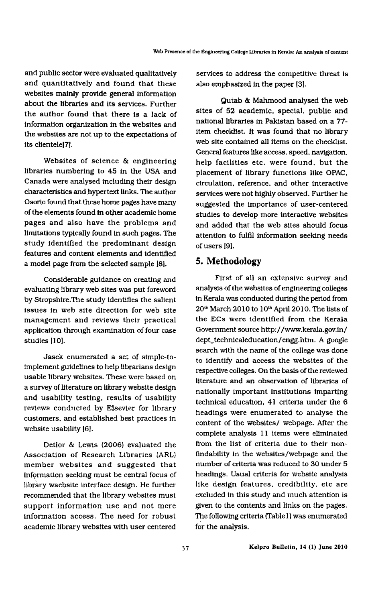and public sector were evaluated qualitatively and quantitatively and found that these websites mainly provide general information about the libraries and its services. Further the author found that there is a lack of information organization in the websites and the websites are not up to the expectations of its clientele[7l.

Websites of science & engineering libraries numbering to 45 in the USA and Canada were analysed including their design characteristics and hypertext links. The author Osorio found that these home pages have many of the elements found in other academic home pages and also have the problems and limitations typically found in such pages. The study identified the predominant design features and content elements and identified a model page from the selected sample [8].

Considerable guidance on creating and evaluating library web sites was put foreword by Stropshire.The study identifies the salient issues in web site direction for web site management and reviews their practical application through examination of four case studies [10].

Jasek enumerated a set of simple-toimplement guidelines to help librarians design usable library websites. These were based on a survey of literature on library website design and usability testing. results of usability reviews conducted by Elsevier for library customers. and established best practices in website usability [6].

Detlor & Lewis (2006) evaluated the Association of Research Libraries (ARL) member websites and suggested that information seeking must be central focus of library waebsite interface design. He further recommended that the library websites must support information use and not mere information access. The need for robust academic library websites with user centered

services to address the competitive threat is also emphasized in the paper [3].

Qutab & Mahmood analysed the web sites of 52 academic. special. public and national libraries in Pakistan based on a 77 item checklist. It was found that no library web site contained all items on the checklist. General features like access. speed. navigation. help facilities etc. were found. but the placement of library functions like OPAC. circulation. reference. and other interactive services were not highly observed. Further he suggested the importance of user-centered studies to develop more interactive websites and added that the web sites should focus attention to fulfil information seeking needs of users [9].

# 5. Methodology

First of all an extensive survey and analysis of the websites of engineering colleges in Kerala was conducted during the period from 20"' March 2010 to 10"' April 2010. The lists of the ECs were identified from the Kerala Government source http: //www.kerala.gov.in/ dept\_technlcaleducation/engg.htm. A google search with the name of the college was done to identify and access the websites of the respective colleges. On the basis of the reviewed literature and an observation of libraries of nationally important institutions imparting technical education, 41 criteria under the 6 headings were enumerated to analyse the content of the websites/ webpage. After the complete analysis 11 items were eliminated from the list of criteria due to their nonflndability in the websites/webpage and the number of criteria was reduced to 30 under 5 headings. Usual criteria for website analysis like design features. credibility. etc are excluded in this study and much attention is given to the contents and links on the pages. The following criteria (Table1) was enumerated for the analysis.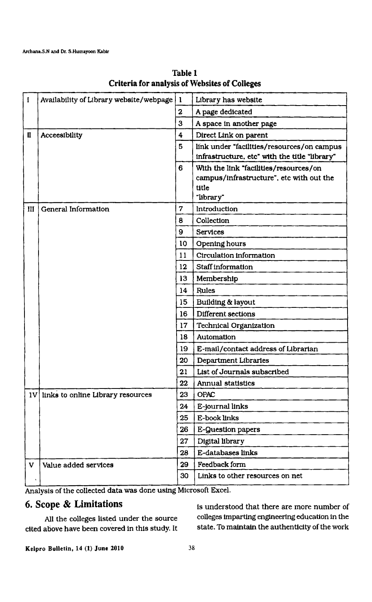| $\mathbf{I}$ | Availability of Library website/webpage | 1               | Library has website                                                                                      |
|--------------|-----------------------------------------|-----------------|----------------------------------------------------------------------------------------------------------|
|              |                                         | $\mathbf 2$     | A page dedicated                                                                                         |
|              |                                         | 3               | A space in another page                                                                                  |
| П            | Acceesibility                           | 4               | Direct Link on parent                                                                                    |
|              |                                         | 5               | link under "facilities/resources/on campus<br>infrastructure, etc" with the title "library"              |
|              |                                         | 6               | With the link "facilities/resources/on<br>campus/infrastructure", etc with out the<br>title<br>"library" |
| III          | General Information                     | 7               | Introduction                                                                                             |
|              |                                         | 8               | Collection                                                                                               |
|              |                                         | 9               | <b>Services</b>                                                                                          |
|              |                                         | 10              | Opening hours                                                                                            |
|              |                                         | 11              | Circulation information                                                                                  |
|              |                                         | $12 \,$         | Staff information                                                                                        |
|              |                                         | 13              | Membership                                                                                               |
|              |                                         | 14              | <b>Rules</b>                                                                                             |
|              |                                         | 15 <sub>2</sub> | Building & layout                                                                                        |
|              |                                         | 16              | Different sections                                                                                       |
|              |                                         | 17              | <b>Technical Organization</b>                                                                            |
|              |                                         | 18              | Automation                                                                                               |
|              |                                         | 19              | E-mail/contact address of Librarian                                                                      |
|              |                                         | 20              | <b>Department Libraries</b>                                                                              |
|              |                                         | 21              | List of Journals subscribed                                                                              |
|              |                                         | 22              | Annual statistics                                                                                        |
|              | 1V links to online Library resources    | 23              | <b>OPAC</b>                                                                                              |
|              |                                         | 24              | E-journal links                                                                                          |
|              |                                         | 25              | E-book links                                                                                             |
|              |                                         | 26              | E-Question papers                                                                                        |
|              |                                         | 27              | Digital library                                                                                          |
|              |                                         | 28              | E-databases links                                                                                        |
| $\mathbf{V}$ | Value added services                    | 29              | Feedback form                                                                                            |
|              |                                         | 30              | Links to other resources on net                                                                          |

Table 1 Criteria for analysis of Websites of Colleges

Analysis of the collected data was done using Microsoft Excel.

cited above have been covered in this study. It

6. Scope & Limitations is understood that there are more number of All the colleges listed under the source colleges imparting engineering education in the<br>above have been covered in this study. It state. To maintain the authenticity of the work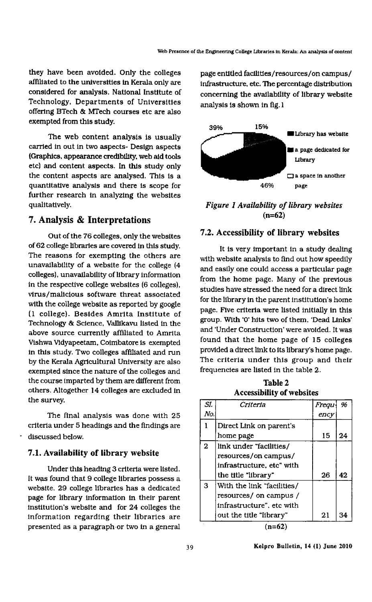they have been avoided. Only the colleges affiliated to the universities in Kerala only are considered for analysis. National Institute of Technology. Departments of Universities offering BTech & MTech courses etc are also exempted from this study.

The web content analysis is usually carried in out in two aspects- Design aspects (Graphics. appearance credibility. web aid tools etc) and content aspects. In this study only the content aspects are analysed. This is a quantitative analysis and there is scope for further research in analyzing the websites qualitatively.

# 7. Analysis & Interpretations

Out of the 76 colleges, only the websites of 62 college libraries are covered in this study. The reasons for exempting the others are unavailability of a website for the college (4 colleges}. unavailability of library information in the respective college websites (6 colleges). virus/malicious software threat associated with the college website as reported by google [1 college). Besides Amrita Institute of Technology & Science, Vallikavu listed in the above source currently affiliated to Amrita Vishwa Vidyapeetam. Coimbatore is exempted in this study. Two colleges affiliated and run by the Kerala Agricultural University are also exempted since the nature of the colleges and the course imparted by them are different from others. Altogether 14 colleges are excluded in the survey.

The final analysis was done with 25 criteria under 5 headings and the findings are discussed below.

### 7.1. Availability of library website

Under this heading 3 criteria were listed. It was found that 9 college libraries possess a website. 29 college libraries has a dedicated page for library information in their parent institution's website and for 24 colleges the information regarding their libraries are presented as a paragraph-or two in a general

page entitled facilities/resources/on campus/ infrastructure. etc. The percentage distribution concerning the availability of library website analysis is shown in fig.1



Figure 1 Availability of library websites  $(n=62)$ 

#### 7.2. Accessibility of library websites

it is very important in a study dealing with website analysis to find out how speedily and easily one could access a particular page from the home page. Many of the previous studies have stressed the need for a direct link for the library in the parent institution's home page. Five criteria were listed initially in this group. With '0' hits two of them. 'Dead Links' and 'Under Construction' were avoided. It was found that the home page of 15 colleges provided a direct link to its library's home page. The criteria under this group and their frequencies are listed in the table 2.

Table 2 Accessibility of websites

| SI.          | Criteria                   | Frequ | 96 |
|--------------|----------------------------|-------|----|
| No.          |                            | ency  |    |
|              | Direct Link on parent's    |       |    |
|              | home page                  | 15    | 24 |
| $\mathbf{2}$ | link under "facilities/    |       |    |
|              | resources/on campus/       |       |    |
|              | infrastructure, etc" with  |       |    |
|              | the title "library"        | 26    | 42 |
| 3            | With the link "facilities/ |       |    |
|              | resources/ on campus /     |       |    |
|              | infrastructure", etc with  |       |    |
|              | out the title "library"    | 21    | 34 |
|              |                            |       |    |

 $(n=62)$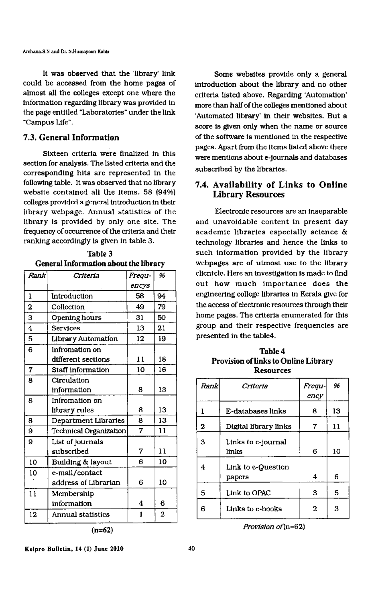A.rchana.S.N and Dr. S.Humayoon Kabir

It was observed that the 'library' link could be accessed from the home pages of almost all the colleges except one where the information regarding library was provided in the page entitled "Laboratories" under the link 'Campus Life".

#### 7.3. General Information

Sixteen criteria were finalized in this section for analysis. The listed criteria and the corresponding hits are represented in the following table. It was observed that no library website contained all the items. 58 (94%) colleges provided a general introduction in their library webpage. Annual statistics of the library is provided by only one site. The frequency of occurrence of the criteria and their ranking accordingly is given in table 3.

| Rank                    | Criteria                    | Frequ-           | 96             | clientele. Here an investigation is made to fli<br>out how much importance does t |                                               |                |                |  |
|-------------------------|-----------------------------|------------------|----------------|-----------------------------------------------------------------------------------|-----------------------------------------------|----------------|----------------|--|
|                         |                             | encys            |                |                                                                                   |                                               |                |                |  |
| $\mathbf{I}$            | Introduction                | 58               | 94             | engineering college libraries in Kerala give :                                    |                                               |                |                |  |
| $\mathbf 2$             | Collection                  | 49               | 79             |                                                                                   | the access of electronic resources through th |                |                |  |
| 3                       | Opening hours               | 31               | 50             |                                                                                   | home pages. The criteria enumerated for tl    |                |                |  |
| $\overline{\mathbf{4}}$ | <b>Services</b>             | 13               | 21             |                                                                                   | group and their respective frequencies a      |                |                |  |
| 5                       | <b>Library Automation</b>   | 12               | 19             |                                                                                   | presented in the table4.                      |                |                |  |
| 6                       | Infromation on              |                  |                |                                                                                   | <b>Table 4</b>                                |                |                |  |
|                         | different sections          | 11               | 18             |                                                                                   | Provision of links to Online Library          |                |                |  |
| $\overline{7}$          | Staff information           | 10               | 16             |                                                                                   | <b>Resources</b>                              |                |                |  |
| $\bf{8}$                | Circulation                 |                  |                |                                                                                   |                                               |                | 96             |  |
|                         | information                 | 8                | 13             | Rank                                                                              | Criteria                                      | Frequ-         |                |  |
| 8                       | Infromation on              |                  |                |                                                                                   |                                               | ency           |                |  |
|                         | library rules               | 8                | 13             | $\mathbf{1}$                                                                      | E-databases links                             | 8              | 13             |  |
| 8                       | <b>Department Libraries</b> | 8                | 13             | $\mathbf 2$                                                                       |                                               | $\overline{7}$ |                |  |
| 9                       | Technical Organization      | $\overline{7}$   | 11             |                                                                                   | Digital library links                         |                | 11             |  |
| 9                       | List of journals            |                  |                | 3                                                                                 | Links to e-journal                            |                |                |  |
|                         | subscribed                  | $\overline{7}$   | 11             |                                                                                   | links                                         | 6              | 10             |  |
| 10                      | Building & layout           | 6                | 10             | $\overline{4}$                                                                    | Link to e-Question                            |                |                |  |
| 10                      | e-mail/contact              |                  |                |                                                                                   | papers                                        | 4              | 6              |  |
|                         | address of Librarian        | 6                | 10             |                                                                                   |                                               |                |                |  |
| 11                      | Membership                  |                  |                | $5\phantom{.}$                                                                    | Link to OPAC                                  | 3              | $\overline{5}$ |  |
|                         | information                 | $\boldsymbol{4}$ | 6              | 6                                                                                 | Links to e-books                              | $\overline{2}$ | $\mathbf{3}$   |  |
| 12                      | <b>Annual statistics</b>    | 1                | $\overline{2}$ |                                                                                   |                                               |                |                |  |
|                         | $(n=62)$                    |                  |                |                                                                                   | Provision of (n=62)                           |                |                |  |

Some websites provide only a general introduction about the library and no other criteria listed above. Regarding 'Automation' more than half of the colleges mentioned about 'Automated library' in their websites. But a score is given only when the name or source of the software is mentioned in the respective pages. Apart from the items listed above there were mentions about e-journals and databases subscribed by the libraries.

# 7.4. Availability of Links to Online Library Resources

Electronic resources are an inseparable and unavoidable content in present day academic libraries especially science & technology libraries and hence the links to Table 3 **Such information provided by the library** such information provided by the library General Information about the library webpages are of utmost use to the library clientele. Here an investigation is made to find out how much importance does the engineering college libraries in Kerala give for the access of electronic resources through their<br>home pages. The criteria enumerated for this group and their respective frequencies are<br>presented in the table4.

**Provision of links to Online Library<br>Resources** 

| Rank | Criteria                     | Frequ-<br>ency | 96 |
|------|------------------------------|----------------|----|
| L    | E-databases links            | 8              | 13 |
| 2    | Digital library links        | 7              | 11 |
| з    | Links to e-journal<br>links  | 6              | 10 |
| 4    | Link to e-Question<br>papers | 4              | 6  |
| 5    | Link to OPAC                 | 3              | 5  |
| 6    | Links to e-books             | 2              | 3  |

Kelpro Bulletin, 14 (1) June 2010 40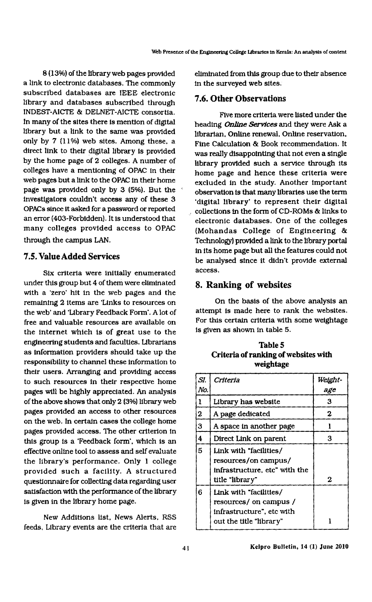8 (13%) of the library web pages provided a link to electronic databases. The commonly subscribed databases are IEEE electronic library and databases subscribed through INDEST-AICTE & DELNET-AICTE consortia. In many of the sites there is mention of digital library but a link to the same was provided only by 7 (11%) web sites. Among these. a direct link to their digital library is provided by the home page of 2 colleges. A number of colleges have a mentioning of OPAC in their web pages but a link to the OPAC in their home page was provided only by 3 (5%). But the ' investigators couldn't access any of these 3 0PACs since it asked for a password or reported an error (403-Forbidden). It is understood that many colleges provided access to OPAC through the campus LAN.

# 7.5. Value Added Services

Six criteria were initially enumerated under this group but 4 of them were eliminated with a 'zero' hit in the web pages and the remaining 2 items are 'Links to resources on the web' and 'Library Feedback Form'. A lot of free and valuable resources are available on the internet which is of great use to the engineering students and faculties. Librarians as information providers should take up the responsibility to charmel these information to their users. Arranging and providing access to such resources in their respective home pages will be highly appreciated. An analysis of the above shows that only 2 (3%) library web pages provided an access to other resources on the web. In certain cases the college home pages provided access. The other criterion in this group is a 'Feedback form'. which is an effective online tool to assess and self evaluate the library's performance. Only 1 college provided such a facility. A structured questionnaire for collecting data regarding user satisfaction with the performance of the library is given in the library home page.

New Additions list. News Alerts. RSS feeds. Library events are the criteria that are

eliminated from this group due to their absence in the surveyed web sites.

#### 7.6. Other Observations

Five more criteria were listed under the heading *Online Services* and they were Ask a librarian. Online renewal. Online reservation. Fine Calculation & Book recommendation. It was really disappointing that not even a single library provided such a service through its home page and hence these criteria were excluded in the study. Another important observation is that many libraries use the term 'digital library' to represent their digital collections in the form of CD-ROMs 6: links to electronic databases. One of the colleges (Mohandas College of Engineering 8: Technology) provided a link to the library portal in its home page but all the features could not be analysed since it didn't provide external access.

# 8. Ranking of websites

On the basis of the above analysis an attempt is made here to rank the websites. For this certain criteria with some weightage is given as shown in table 5.

Table 5 Criteria of ranking of websites with

| weightage |                                                                                 |         |  |  |
|-----------|---------------------------------------------------------------------------------|---------|--|--|
| SI.       | Criteria                                                                        | Weight- |  |  |
| No.       |                                                                                 | age     |  |  |
| 1         | Library has website                                                             | 3       |  |  |
| 2         | A page dedicated                                                                | 2       |  |  |
| 3         | A space in another page                                                         |         |  |  |
| 4         | Direct Link on parent                                                           | 3       |  |  |
| 5         | Link with "facilities/<br>resources/on campus/<br>infrastructure, etc" with the |         |  |  |
|           | title "library"                                                                 | 2       |  |  |
| 6         | Link with "facilities/<br>resources/ on campus/<br>infrastructure", etc with    |         |  |  |
|           | out the title "library"                                                         |         |  |  |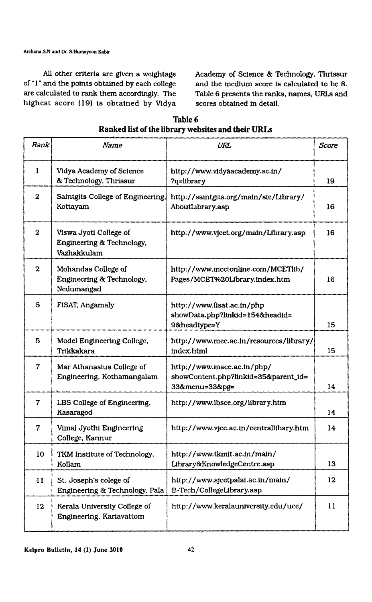Archana.S.N and Dr. S.Humayoon Kabir

of "1" and the points obtained by each college and the medium score is calculated to be 8.<br>are calculated to rank them accordingly. The Table 6 presents the ranks, names, URLs and highest score (19) is obtained by Vidya

All other criteria are given a weightage Academy of Science & Technology. Thrissur Table 6 presents the ranks, names, URLs and<br>scores obtained in detail.

| Rank                    | Name                                                               | URL                                                                                  | <b>Score</b> |
|-------------------------|--------------------------------------------------------------------|--------------------------------------------------------------------------------------|--------------|
| 1                       | Vidya Academy of Science<br>& Technology, Thrissur                 | http://www.vidyaacademy.ac.in/<br>?q=library                                         | 19.          |
| $\overline{2}$          | Saintgits College of Engineering.<br>Kottayam                      | http://saintgits.org/main/sie/Library/<br>AboutLibrary.asp                           | 16           |
| $\bf{2}$                | Viswa Jyoti College of<br>Engineering & Technology,<br>Vazhakkulam | http://www.vicet.org/main/Library.asp                                                | 16           |
| $\overline{2}$          | Mohandas College of<br>Engineering & Technology.<br>Nedumangad     | http://www.mcetonline.com/MCETlib/<br>Pages/MCET%20Library.index.htm                 | 16           |
| $\overline{5}$          | FISAT, Angamaly                                                    | http://www.fisat.ac.in/php<br>showData.php?linkid=154&headid=<br>9&headtype=Y        | 15           |
| $\bf{5}$                | Model Engineering College.<br>Trikkakara                           | http://www.mec.ac.in/resources/library/<br>index.html                                | 15           |
| $\overline{\mathbf{z}}$ | Mar Athanasius College of<br>Engineering, Kothamangalam            | http://www.mace.ac.in/php/<br>showContent.php?linkid=35&parent_id=<br>33&menu=33&pg= | 14           |
| $\overline{7}$          | LBS College of Engineering.<br>Kasaragod                           | http://www.lbsce.org/library.htm                                                     | 14           |
| $\overline{7}$          | Vimal Jyothi Engineering<br>College, Kannur                        | http://www.vjec.ac.in/centrallibary.htm                                              | 14           |
| 10                      | TKM Institute of Technology.<br>Kollam                             | http://www.tkmit.ac.in/main/<br>Library&KnowledgeCentre.asp                          | 13           |
| $\mathbf{11}$           | St. Joseph's colege of<br>Engineering & Technology, Pala           | http://www.sjcetpalai.ac.in/main/<br>B-Tech/CollegeLibrary.asp                       | 12           |
| 12                      | Kerala University College of<br>Engineering, Kariavattom           | http://www.keralauniversity.edu/uce/                                                 | 11           |

Table 6 Ranked list of the library websites and their URLs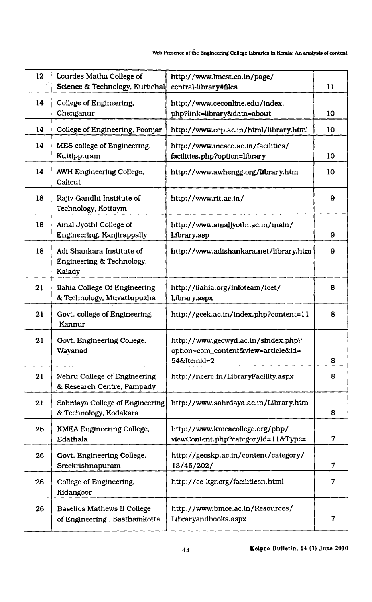#### Web Presence of the Engineering College Libraries in Kerala: An analysis of content

| 12 | Lourdes Matha College of        | http://www.lmcst.co.in/page/           |    |
|----|---------------------------------|----------------------------------------|----|
|    | Science & Technology, Kuttichal | central-library#files                  | 11 |
| 14 | College of Engineering,         | http://www.ceconline.edu/index.        |    |
|    | Chenganur                       |                                        | 10 |
|    |                                 | php?link=library&data=about            |    |
| 14 | College of Engineering, Poonjar | http://www.cep.ac.in/html/library.html | 10 |
| 14 | MES college of Engineering.     | http://www.mesce.ac.in/facilities/     |    |
|    | Kuttippuram                     | facilities.php?option=library          | 10 |
|    |                                 |                                        |    |
| 14 | AWH Engineering College,        | http://www.awhengg.org/library.htm     | 10 |
|    | Calicut                         |                                        |    |
|    |                                 |                                        |    |
| 18 | Rajiv Gandhi Institute of       | http://www.rit.ac.in/                  | 9  |
|    | Technology, Kottaym             |                                        |    |
|    |                                 |                                        |    |
| 18 | Amal Jyothi College of          | http://www.amaljyothi.ac.in/main/      |    |
|    | Engineering, Kanjirappally      | Library.asp                            | 9  |
| 18 | Adi Shankara Institute of       | http://www.adishankara.net/library.htm | 9  |
|    | Engineering & Technology.       |                                        |    |
|    |                                 |                                        |    |
|    | Kalady                          |                                        |    |
| 21 | Ilahia College Of Engineering   | http://ilahia.org/infoteam/icet/       | 8  |
|    | & Technology, Muvattupuzha      | Library.aspx                           |    |
|    |                                 |                                        |    |
| 21 | Govt. college of Engineering,   | http://gcek.ac.in/index.php?content=11 | 8  |
|    | Kannur                          |                                        |    |
|    |                                 |                                        |    |
| 21 | Govt. Engineering College.      | http://www.gecwyd.ac.in/sindex.php?    |    |
|    | Wayanad                         | option=com_content&view=article&id=    |    |
|    |                                 | 54&Itemid=2                            | 8  |
| 21 | Nehru College of Engineering    | http://ncerc.in/LibraryFacility.aspx   | 8  |
|    |                                 |                                        |    |
|    | & Research Centre, Pampady      |                                        |    |
| 21 | Sahrdaya College of Engineering | http://www.sahrdaya.ac.in/Library.htm  |    |
|    | & Technology, Kodakara          |                                        | 8  |
|    |                                 |                                        |    |
| 26 | KMEA Engineering College.       | http://www.kmeacollege.org/php/        |    |
|    | Edathala                        | viewContent.php?categoryId=11&Type=    | 7  |
|    |                                 |                                        |    |
| 26 | Govt. Engineering College,      | http://gecskp.ac.in/content/category/  |    |
|    | Sreekrishnapuram                | 13/45/202/                             | 7  |
| 26 | College of Engineering.         | http://ce-kgr.org/facilitiesn.html     | 7  |
|    |                                 |                                        |    |
|    | Kidangoor                       |                                        |    |
| 26 | Baselios Mathews II College     | http://www.bmce.ac.in/Resources/       |    |
|    | of Engineering, Sasthamkotta    | Libraryandbooks.aspx                   | 7  |
|    |                                 |                                        |    |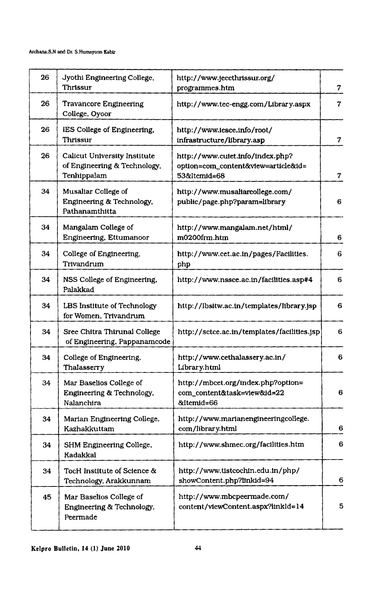| 26 | Jyothi Engineering College,<br>Thrissur                                            | http://www.jeccthrissur.org/<br>programmes.htm                                          | $\overline{7}$          |
|----|------------------------------------------------------------------------------------|-----------------------------------------------------------------------------------------|-------------------------|
| 26 | <b>Travancore Engineering</b><br>College, Oyoor                                    | http://www.tec-engg.com/Library.aspx                                                    | $\boldsymbol{\tau}$     |
| 26 | IES College of Engineering.<br>Thrissur                                            | http://www.iesce.info/root/<br>infrastructure/library.asp                               | $\overline{7}$          |
| 26 | <b>Calicut University Institute</b><br>of Engineering & Technology,<br>Tenhippalam | http://www.cuiet.info/index.php?<br>option=com_content&view=article&id=<br>53&Itemid=68 | $\overline{\mathbf{7}}$ |
| 34 | Musaliar College of<br>Engineering & Technology.<br>Pathanamthitta                 | http://www.musaliarcollege.com/<br>public/page.php?param=library                        | 6                       |
| 34 | Mangalam College of<br>Engineering, Ettumanoor                                     | http://www.mangalam.net/html/<br>m0200frm.htm                                           | 6                       |
| 34 | College of Engineering.<br>Trivandrum                                              | http://www.cet.ac.in/pages/Facilities.<br>php                                           | 6                       |
| 34 | NSS College of Engineering,<br>Palakkad                                            | http://www.nssce.ac.in/facilities.asp#4                                                 | 6                       |
| 34 | LBS Institute of Technology<br>for Women, Trivandrum                               | http://lbsitw.ac.in/templates/library.jsp                                               | 6                       |
| 34 | Sree Chitra Thirunal College<br>of Engineering, Pappanamcode                       | http://sctce.ac.in/templates/facilities.jsp                                             | 6                       |
| 34 | College of Engineering,<br>Thalasserry                                             | http://www.cethalassery.ac.in/<br>Library.html                                          | 6                       |
| 34 | Mar Baselios College of<br>Engineering & Technology.<br>Nalanchira                 | http://mbcet.org/index.php?option=<br>com_content&task=view&id=22<br>&Itemid=66         | 6                       |
| 34 | Marian Engineering College,<br>Kazhakkuttam                                        | http://www.marianengineeringcollege.<br>com/library.html                                | 6                       |
| 34 | SHM Engineering College.<br>Kadakkal                                               | http://www.shmec.org/facilities.htm                                                     | 6                       |
| 34 | TocH Institute of Science &<br>Technology, Arakkunnam                              | http://www.tistcochin.edu.in/php/<br>showContent.php?linkid=94                          | 6                       |
| 45 | Mar Baselios College of<br>Engineering & Technology,<br>Peermade                   | http://www.mbcpeermade.com/<br>content/viewContent.aspx?linkld=14                       | 5                       |
|    |                                                                                    |                                                                                         |                         |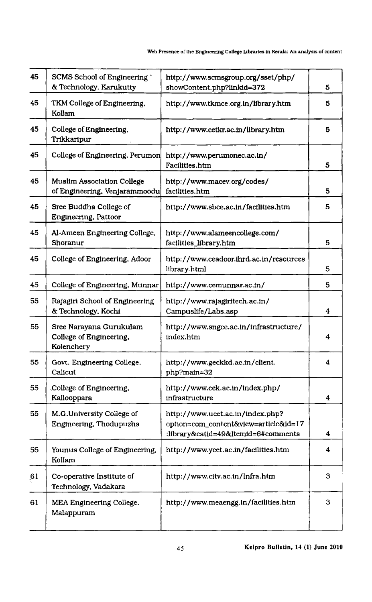#### Web Presence of the Engineering College Libraries in Kerala: An analysis of content

| 45 | SCMS School of Engineering<br>& Technology, Karukutty            | http://www.scmsgroup.org/sset/php/<br>showContent.php?linkid=372                                                 | 5 |
|----|------------------------------------------------------------------|------------------------------------------------------------------------------------------------------------------|---|
| 45 | TKM College of Engineering,<br>Kollam                            | http://www.tkmce.org.in/library.htm                                                                              | 5 |
| 45 | College of Engineering.<br>Trikkaripur                           | http://www.cetkr.ac.in/library.htm                                                                               | 5 |
| 45 | College of Engineering, Perumon                                  | http://www.perumonec.ac.in/<br>Facilities.htm                                                                    | 5 |
| 45 | Muslim Association College<br>of Engineering, Venjarammoodu      | http://www.macev.org/codes/<br>facilities.htm                                                                    | 5 |
| 45 | Sree Buddha College of<br>Engineering, Pattoor                   | http://www.sbce.ac.in/facilities.htm                                                                             | 5 |
| 45 | Al-Ameen Engineering College,<br>Shoranur                        | http://www.alameencollege.com/<br>facilities_library.htm                                                         | 5 |
| 45 | College of Engineering, Adoor                                    | http://www.ceadoor.ihrd.ac.in/resources<br>library.html                                                          | 5 |
| 45 | College of Engineering, Munnar                                   | http://www.cemunnar.ac.in/                                                                                       | 5 |
| 55 | Rajagiri School of Engineering<br>& Technology, Kochi            | http://www.rajagiritech.ac.in/<br>Campuslife/Labs.asp                                                            | 4 |
| 55 | Sree Narayana Gurukulam<br>College of Engineering.<br>Kolenchery | http://www.sngce.ac.in/infrastructure/<br>index.htm                                                              | 4 |
| 55 | Govt. Engineering College,<br>Calicut                            | http://www.geckkd.ac.in/client.<br>php?main=32                                                                   | 4 |
| 55 | College of Engineering.<br>Kallooppara                           | http://www.cek.ac.in/index.php/<br>infrastructure                                                                | 4 |
| 55 | M.G.University College of<br>Engineering, Thodupuzha             | http://www.ucet.ac.in/index.php?<br>option=com_content&view=article&id=17<br>:library&catid=49&Itemid=6#comments | 4 |
| 55 | Younus College of Engineering,<br>Kollam                         | http://www.ycet.ac.in/facilities.htm                                                                             | 4 |
| 61 | Co-operative Institute of<br>Technology, Vadakara                | http://www.citv.ac.in/Infra.htm                                                                                  | 3 |
| 61 | MEA Engineering College,<br>Malappuram                           | http://www.meaengg.in/facilities.htm                                                                             | 3 |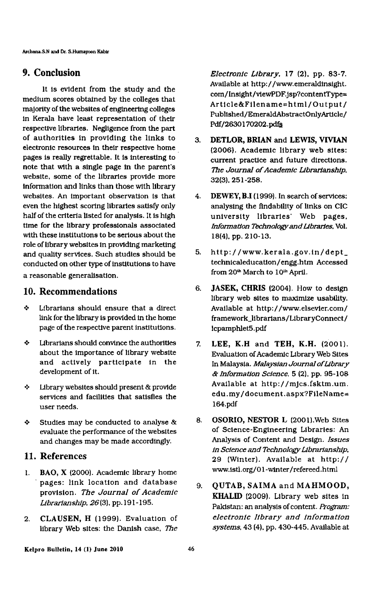# 9. Conclusion

It is evident from the study and the medium scores obtained by the colleges that majority of the websites of engineering colleges in Kerala have least representation of their respective libraries. Negligence from the part of authorities in providing the links to electronic resources in their respective home \_ pages is really regrettable. It is interesting to note that with a single page in the parent's website. some of the libraries provide more information and links than those with library websites. An important observation is that even the highest scoring libraries satisfy only half of the criteria listed for analysis. It is high time for the library professionals associated with these institutions to be serious about the role of library websites in providing marketing and quality services. Such studies should be conducted on other type of institutions to have a reasonable generalisation.

# 10. Recommendations

- $\div$  Librarians should ensure that a direct link for the library is provided in the home page of the respective parent institutions.
- 4- Librarians should convince the authorities about the importance of library website and actively participate in the development of it.
- $\div$  Library websites should present & provide services and facilities that satisfies the user needs.
- $\div$  Studies may be conducted to analyse & evaluate the performance of the websites and changes may be made accordingly.

# 11. References

- I. BAO, X (2000). Academic library home 'pages: link location and database provision. The Journal of Academic Librarianship,  $26(3)$ , pp. 191-195.
- 2. CLAUSEN, H (1999). Evaluation of library Web sites: the Danish case, The

Electronic Library,  $17$  (2), pp. 83-7. Available at http: / /wwwemeraldinsight. com/Insight/viewPDF.jsp?contentType= Article&Filename=html/Output/ Published/EmeraldAbstractOnlyArticle/ Pdf/2630170202.pdfs

- 3. DETLOR, BRIAN and LEWIS, VIVIAN (2006). Academic library web sites: current practice and future directions. The Journal of Academic Librarianship. 32(3). 251-258.
- $4.$ DEWEY, B.I (1999). In search of services: analysing the findability of links on CIC university libraries' Web pages. Information Technology and Libraries, Vol. 18(4). pp. 210-13.
- 5. http:/ /www.kerala.gov.in/dept\_ technicaleducation/engg.htm Accessed from 20<sup>th</sup> March to 10<sup>th</sup> April.
- JASEK, CHRIS (2004). How to design 6. library web sites to maximize usability. Available at http: //www.e1sevier.com/ framework\_librarians/LibraryConnect/ lcpamph1et5.pdf
- $7<sub>1</sub>$ LEE, K.H and TEH, K.H. (2001). Evaluation of Academic Library Web Sites In Malaysia. Malaysian Journal of Library & Information Science. 5 (2). pp. 95-108 Available at http://mjcs.fsktm.um. edu.my/document.aspx?FileName= l64.pdf
- 8. OSORIO, NESTOR L (200l).Web Sites of Science-Engineering Libraries: An Analysis of Content and Design. Issues in Science and Technology Librarianship. 29 (Winter). Available at http:// www.istl . org/0 1 -winter/ refereed .html
- $9<sub>i</sub>$ QUTAB, SAIMA and MAHMOOD, KHALID (2009). Library web sites in Pakistan: an analysis of content. Program: electronic library and information systems, 43 (4). pp. 430-445. Available at